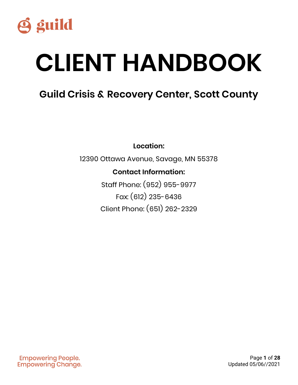

# **CLIENT HANDBOOK**

## **Guild Crisis & Recovery Center, Scott County**

**Location:**

12390 Ottawa Avenue, Savage, MN 55378

### **Contact Information:**

Staff Phone: (952) 955-9977 Fax: (612) 235-6436 Client Phone: (651) 262-2329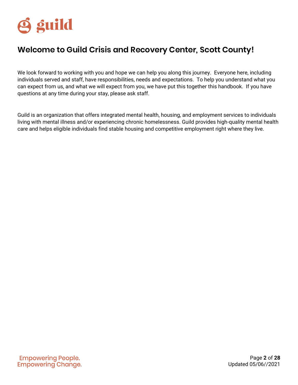

### **Welcome to Guild Crisis and Recovery Center, Scott County!**

We look forward to working with you and hope we can help you along this journey. Everyone here, including individuals served and staff, have responsibilities, needs and expectations. To help you understand what you can expect from us, and what we will expect from you, we have put this together this handbook. If you have questions at any time during your stay, please ask staff.

Guild is an organization that offers integrated mental health, housing, and employment services to individuals living with mental illness and/or experiencing chronic homelessness. Guild provides high-quality mental health care and helps eligible individuals find stable housing and competitive employment right where they live.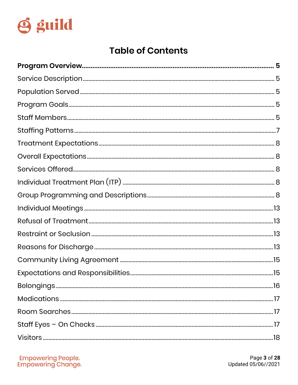

## **Table of Contents**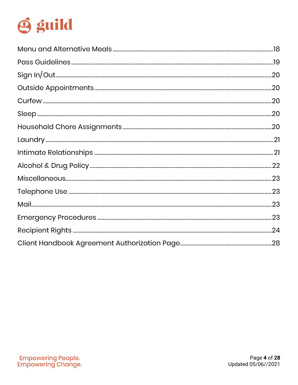

<span id="page-3-0"></span>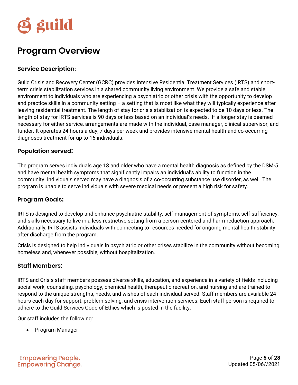

## **Program Overview**

#### <span id="page-4-0"></span>**Service Description**:

Guild Crisis and Recovery Center (GCRC) provides Intensive Residential Treatment Services (IRTS) and shortterm crisis stabilization services in a shared community living environment. We provide a safe and stable environment to individuals who are experiencing a psychiatric or other crisis with the opportunity to develop and practice skills in a community setting  $-$  a setting that is most like what they will typically experience after leaving residential treatment. The length of stay for crisis stabilization is expected to be 10 days or less. The length of stay for IRTS services is 90 days or less based on an individual's needs. If a longer stay is deemed necessary for either service, arrangements are made with the individual, case manager, clinical supervisor, and funder. It operates 24 hours a day, 7 days per week and provides intensive mental health and co-occurring diagnoses treatment for up to 16 individuals.

#### <span id="page-4-1"></span>**Population served:**

The program serves individuals age 18 and older who have a mental health diagnosis as defined by the DSM-5 and have mental health symptoms that significantly impairs an individual's ability to function in the community. Individuals served may have a diagnosis of a co-occurring substance use disorder, as well. The program is unable to serve individuals with severe medical needs or present a high risk for safety.

#### <span id="page-4-2"></span>**Program Goals:**

IRTS is designed to develop and enhance psychiatric stability, self-management of symptoms, self-sufficiency, and skills necessary to live in a less restrictive setting from a person-centered and harm-reduction approach. Additionally, IRTS assists individuals with connecting to resources needed for ongoing mental health stability after discharge from the program.

Crisis is designed to help individuals in psychiatric or other crises stabilize in the community without becoming homeless and, whenever possible, without hospitalization.

#### <span id="page-4-3"></span>**Staff Members:**

IRTS and Crisis staff members possess diverse skills, education, and experience in a variety of fields including social work, counseling, psychology, chemical health, therapeutic recreation, and nursing and are trained to respond to the unique strengths, needs, and wishes of each individual served. Staff members are available 24 hours each day for support, problem solving, and crisis intervention services. Each staff person is required to adhere to the Guild Services Code of Ethics which is posted in the facility.

Our staff includes the following:

• Program Manager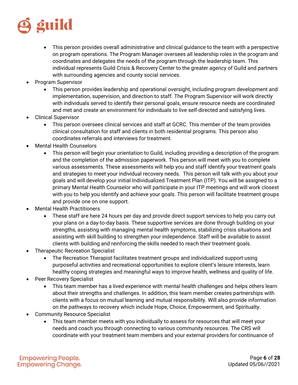

- This person provides overall administrative and clinical guidance to the team with a perspective on program operations. The Program Manager oversees all leadership roles in the program and coordinates and delegates the needs of the program through the leadership team. This individual represents Guild Crisis & Recovery Center to the greater agency of Guild and partners with surrounding agencies and county social services.
- Program Supervisor
	- This person provides leadership and operational oversight, including program development and implementation, supervision, and direction to staff. The Program Supervisor will work directly with individuals served to identify their personal goals, ensure resource needs are coordinated and met and create an environment for individuals to live self-directed and satisfying lives.
- Clinical Supervisor
	- This person oversees clinical services and staff at GCRC. This member of the team provides clinical consultation for staff and clients in both residential programs. This person also coordinates referrals and interviews for treatment.
- Mental Health Counselors
	- This person will begin your orientation to Guild, including providing a description of the program and the completion of the admission paperwork. This person will meet with you to complete various assessments. These assessments will help you and staff identify your treatment goals and strategies to meet your individual recovery needs. This person will talk with you about your goals and will develop your initial Individualized Treatment Plan (ITP). You will be assigned to a primary Mental Health Counselor who will participate in your ITP meetings and will work closest with you to help you identify and achieve your goals. This person will facilitate treatment groups and provide one on one support.
- Mental Health Practitioners
	- These staff are here 24 hours per day and provide direct support services to help you carry out your plans on a day-to-day basis. These supportive services are done through building on your strengths, assisting with managing mental health symptoms, stabilizing crisis situations and assisting with skill building to strengthen your independence. Staff will be available to assist clients with building and reinforcing the skills needed to reach their treatment goals.
- Therapeutic Recreation Specialist
	- The Recreation Therapist facilitates treatment groups and individualized support using purposeful activities and recreational opportunities to explore client's leisure interests, learn healthy coping strategies and meaningful ways to improve health, wellness and quality of life.
- Peer Recovery Specialist
	- This team member has a lived experience with mental health challenges and helps others learn about their strengths and challenges. In addition, this team member creates partnerships with clients with a focus on mutual learning and mutual responsibility. Will also provide information on the pathways to recovery which include Hope, Choice, Empowerment, and Spiritualty.
- Community Resource Specialist
	- This team member meets with you individually to assess for resources that will meet your needs and coach you through connecting to various community resources. The CRS will coordinate with your treatment team members and your external providers for continuance of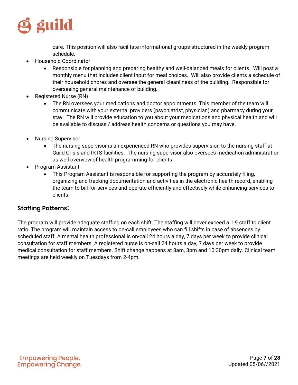

care. This position will also facilitate informational groups structured in the weekly program schedule.

- Household Coordinator
	- Responsible for planning and preparing healthy and well-balanced meals for clients. Will post a monthly menu that includes client input for meal choices. Will also provide clients a schedule of their household chores and oversee the general cleanliness of the building. Responsible for overseeing general maintenance of building.
- Registered Nurse (RN)
	- The RN oversees your medications and doctor appointments. This member of the team will communicate with your external providers (psychiatrist, physician) and pharmacy during your stay. The RN will provide education to you about your medications and physical health and will be available to discuss / address health concerns or questions you may have.
- Nursing Supervisor
	- The nursing supervisor is an experienced RN who provides supervision to the nursing staff at Guild Crisis and IRTS facilities. The nursing supervisor also oversees medication administration as well overview of health programming for clients.
- Program Assistant
	- This Program Assistant is responsible for supporting the program by accurately filing, organizing and tracking documentation and activities in the electronic health record, enabling the team to bill for services and operate efficiently and effectively while enhancing services to clients.

#### <span id="page-6-0"></span>**Staffing Patterns:**

<span id="page-6-1"></span>The program will provide adequate staffing on each shift. The staffing will never exceed a 1:9 staff to client ratio. The program will maintain access to on-call employees who can fill shifts in case of absences by scheduled staff. A mental health professional is on-call 24 hours a day, 7 days per week to provide clinical consultation for staff members. A registered nurse is on-call 24 hours a day, 7 days per week to provide medical consultation for staff members. Shift change happens at 8am, 3pm and 10:30pm daily. Clinical team meetings are held weekly on Tuesdays from 2-4pm.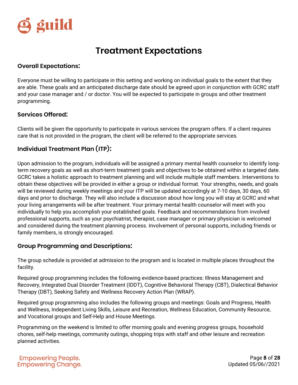

## **Treatment Expectations**

#### <span id="page-7-0"></span>**Overall Expectations:**

Everyone must be willing to participate in this setting and working on individual goals to the extent that they are able. These goals and an anticipated discharge date should be agreed upon in conjunction with GCRC staff and your case manager and / or doctor. You will be expected to participate in groups and other treatment programming.

#### <span id="page-7-1"></span>**Services Offered:**

Clients will be given the opportunity to participate in various services the program offers. If a client requires care that is not provided in the program, the client will be referred to the appropriate services.

#### <span id="page-7-2"></span>**Individual Treatment Plan (ITP):**

Upon admission to the program, individuals will be assigned a primary mental health counselor to identify longterm recovery goals as well as short-term treatment goals and objectives to be obtained within a targeted date. GCRC takes a holistic approach to treatment planning and will include multiple staff members. Interventions to obtain these objectives will be provided in either a group or individual format. Your strengths, needs, and goals will be reviewed during weekly meetings and your ITP will be updated accordingly at 7-10 days, 30 days, 60 days and prior to discharge. They will also include a discussion about how long you will stay at GCRC and what your living arrangements will be after treatment. Your primary mental health counselor will meet with you individually to help you accomplish your established goals. Feedback and recommendations from involved professional supports, such as your psychiatrist, therapist, case manager or primary physician is welcomed and considered during the treatment planning process. Involvement of personal supports, including friends or family members, is strongly encouraged.

#### <span id="page-7-3"></span>**Group Programming and Descriptions:**

The group schedule is provided at admission to the program and is located in multiple places throughout the facility.

Required group programming includes the following evidence-based practices: Illness Management and Recovery, Integrated Dual Disorder Treatment (IDDT), Cognitive Behavioral Therapy (CBT), Dialectical Behavior Therapy (DBT), Seeking Safety and Wellness Recovery Action Plan (WRAP).

Required group programming also includes the following groups and meetings: Goals and Progress, Health and Wellness, Independent Living Skills, Leisure and Recreation, Wellness Education, Community Resource, and Vocational groups and Self-Help and House Meetings.

Programming on the weekend is limited to offer morning goals and evening progress groups, household chores, self-help meetings, community outings, shopping trips with staff and other leisure and recreation planned activities.

Page **8** of **28** Updated 05/06//2021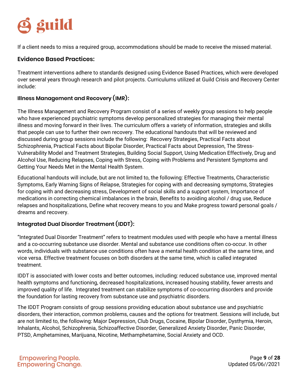

If a client needs to miss a required group, accommodations should be made to receive the missed material.

#### **Evidence Based Practices:**

Treatment interventions adhere to standards designed using Evidence Based Practices, which were developed over several years through research and pilot projects. Curriculums utilized at Guild Crisis and Recovery Center include:

#### **Illness Management and Recovery (IMR):**

The Illness Management and Recovery Program consist of a series of weekly group sessions to help people who have experienced psychiatric symptoms develop personalized strategies for managing their mental illness and moving forward in their lives. The curriculum offers a variety of information, strategies and skills that people can use to further their own recovery. The educational handouts that will be reviewed and discussed during group sessions include the following: Recovery Strategies, Practical Facts about Schizophrenia, Practical Facts about Bipolar Disorder, Practical Facts about Depression, The Stress-Vulnerability Model and Treatment Strategies, Building Social Support, Using Medication Effectively, Drug and Alcohol Use, Reducing Relapses, Coping with Stress, Coping with Problems and Persistent Symptoms and Getting Your Needs Met in the Mental Health System.

Educational handouts will include, but are not limited to, the following: Effective Treatments, Characteristic Symptoms, Early Warning Signs of Relapse, Strategies for coping with and decreasing symptoms, Strategies for coping with and decreasing stress, Development of social skills and a support system, Importance of medications in correcting chemical imbalances in the brain, Benefits to avoiding alcohol / drug use, Reduce relapses and hospitalizations, Define what recovery means to you and Make progress toward personal goals / dreams and recovery.

#### **Integrated Dual Disorder Treatment (IDDT):**

"Integrated Dual Disorder Treatment" refers to treatment modules used with people who have a mental illness and a co-occurring substance use disorder. Mental and substance use conditions often co-occur. In other words, individuals with substance use conditions often have a mental health condition at the same time, and vice versa. Effective treatment focuses on both disorders at the same time, which is called integrated treatment.

IDDT is associated with lower costs and better outcomes, including: reduced substance use, improved mental health symptoms and functioning, decreased hospitalizations, increased housing stability, fewer arrests and improved quality of life. Integrated treatment can stabilize symptoms of co-occurring disorders and provide the foundation for lasting recovery from substance use and psychiatric disorders.

The IDDT Program consists of group sessions providing education about substance use and psychiatric disorders, their interaction, common problems, causes and the options for treatment. Sessions will include, but are not limited to, the following: Major Depression, Club Drugs, Cocaine, Bipolar Disorder, Dysthymia, Heroin, Inhalants, Alcohol, Schizophrenia, Schizoaffective Disorder, Generalized Anxiety Disorder, Panic Disorder, PTSD, Amphetamines, Marijuana, Nicotine, Methamphetamine, Social Anxiety and OCD.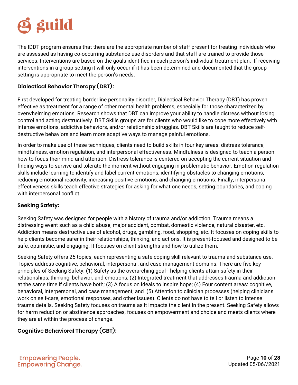

The IDDT program ensures that there are the appropriate number of staff present for treating individuals who are assessed as having co-occurring substance use disorders and that staff are trained to provide those services. Interventions are based on the goals identified in each person's individual treatment plan. If receiving interventions in a group setting it will only occur if it has been determined and documented that the group setting is appropriate to meet the person's needs.

#### **Dialectical Behavior Therapy (DBT):**

First developed for treating borderline personality disorder, Dialectical Behavior Therapy (DBT) has proven effective as treatment for a range of other mental health problems, especially for those characterized by overwhelming emotions. Research shows that DBT can improve your ability to handle distress without losing control and acting destructively. DBT Skills groups are for clients who would like to cope more effectively with intense emotions, addictive behaviors, and/or relationship struggles. DBT Skills are taught to reduce selfdestructive behaviors and learn more adaptive ways to manage painful emotions.

In order to make use of these techniques, clients need to build skills in four key areas: distress tolerance, mindfulness, emotion regulation, and interpersonal effectiveness. Mindfulness is designed to teach a person how to focus their mind and attention. Distress tolerance is centered on accepting the current situation and finding ways to survive and tolerate the moment without engaging in problematic behavior. Emotion regulation skills include learning to identify and label current emotions, identifying obstacles to changing emotions, reducing emotional reactivity, increasing positive emotions, and changing emotions. Finally, interpersonal effectiveness skills teach effective strategies for asking for what one needs, setting boundaries, and coping with interpersonal conflict.

#### **Seeking Safety:**

Seeking Safety was designed for people with a history of trauma and/or addiction. Trauma means a distressing event such as a child abuse, major accident, combat, domestic violence, natural disaster, etc. Addiction means destructive use of alcohol, drugs, gambling, food, shopping, etc. It focuses on coping skills to help clients become safer in their relationships, thinking, and actions. It is present-focused and designed to be safe, optimistic, and engaging. It focuses on client strengths and how to utilize them.

Seeking Safety offers 25 topics, each representing a safe coping skill relevant to trauma and substance use. Topics address cognitive, behavioral, interpersonal, and case management domains. There are five key principles of Seeking Safety: (1) Safety as the overarching goal-- helping clients attain safety in their relationships, thinking, behavior, and emotions; (2) Integrated treatment that addresses trauma and addiction at the same time if clients have both; (3) A focus on ideals to inspire hope; (4) Four content areas: cognitive, behavioral, interpersonal, and case management; and (5) Attention to clinician processes (helping clinicians work on self-care, emotional responses, and other issues). Clients do not have to tell or listen to intense trauma details. Seeking Safety focuses on trauma as it impacts the client in the present. Seeking Safety allows for harm reduction or abstinence approaches, focuses on empowerment and choice and meets clients where they are at within the process of change.

#### **Cognitive Behavioral Therapy (CBT):**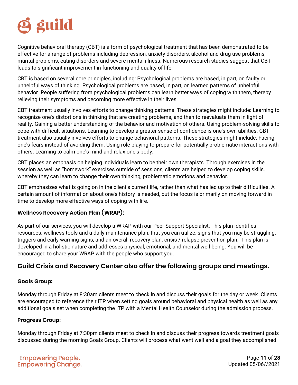

Cognitive behavioral therapy (CBT) is a form of psychological treatment that has been demonstrated to be effective for a range of problems including depression, anxiety disorders, alcohol and drug use problems, marital problems, eating disorders and severe mental illness. Numerous research studies suggest that CBT leads to significant improvement in functioning and quality of life.

CBT is based on several core principles, including: Psychological problems are based, in part, on faulty or unhelpful ways of thinking. Psychological problems are based, in part, on learned patterns of unhelpful behavior. People suffering from psychological problems can learn better ways of coping with them, thereby relieving their symptoms and becoming more effective in their lives.

CBT treatment usually involves efforts to change thinking patterns. These strategies might include: Learning to recognize one's distortions in thinking that are creating problems, and then to reevaluate them in light of reality. Gaining a better understanding of the behavior and motivation of others. Using problem-solving skills to cope with difficult situations. Learning to develop a greater sense of confidence is one's own abilities. CBT treatment also usually involves efforts to change behavioral patterns. These strategies might include: Facing one's fears instead of avoiding them. Using role playing to prepare for potentially problematic interactions with others. Learning to calm one's mind and relax one's body.

CBT places an emphasis on helping individuals learn to be their own therapists. Through exercises in the session as well as "homework" exercises outside of sessions, clients are helped to develop coping skills, whereby they can learn to change their own thinking, problematic emotions and behavior.

CBT emphasizes what is going on in the client's current life, rather than what has led up to their difficulties. A certain amount of information about one's history is needed, but the focus is primarily on moving forward in time to develop more effective ways of coping with life.

#### **Wellness Recovery Action Plan (WRAP):**

As part of our services, you will develop a WRAP with our Peer Support Specialist. This plan identifies resources: wellness tools and a daily maintenance plan, that you can utilize, signs that you may be struggling: triggers and early warning signs, and an overall recovery plan: crisis / relapse prevention plan. This plan is developed in a holistic nature and addresses physical, emotional, and mental well-being. You will be encouraged to share your WRAP with the people who support you.

#### **Guild Crisis and Recovery Center also offer the following groups and meetings.**

#### **Goals Group:**

Monday through Friday at 8:30am clients meet to check in and discuss their goals for the day or week. Clients are encouraged to reference their ITP when setting goals around behavioral and physical health as well as any additional goals set when completing the ITP with a Mental Health Counselor during the admission process.

#### **Progress Group:**

Monday through Friday at 7:30pm clients meet to check in and discuss their progress towards treatment goals discussed during the morning Goals Group. Clients will process what went well and a goal they accomplished

Page **11** of **28** Updated 05/06//2021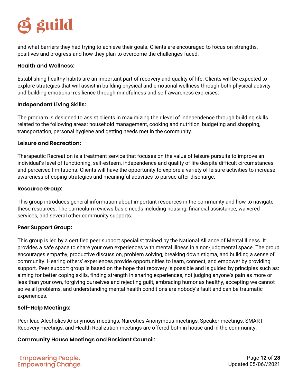## **S** guild

and what barriers they had trying to achieve their goals. Clients are encouraged to focus on strengths, positives and progress and how they plan to overcome the challenges faced.

#### **Health and Wellness:**

Establishing healthy habits are an important part of recovery and quality of life. Clients will be expected to explore strategies that will assist in building physical and emotional wellness through both physical activity and building emotional resilience through mindfulness and self-awareness exercises.

#### **Independent Living Skills:**

The program is designed to assist clients in maximizing their level of independence through building skills related to the following areas: household management, cooking and nutrition, budgeting and shopping, transportation, personal hygiene and getting needs met in the community.

#### **Leisure and Recreation:**

Therapeutic Recreation is a treatment service that focuses on the value of leisure pursuits to improve an individual's level of functioning, self-esteem, independence and quality of life despite difficult circumstances and perceived limitations. Clients will have the opportunity to explore a variety of leisure activities to increase awareness of coping strategies and meaningful activities to pursue after discharge.

#### **Resource Group:**

This group introduces general information about important resources in the community and how to navigate these resources. The curriculum reviews basic needs including housing, financial assistance, waivered services, and several other community supports.

#### **Peer Support Group:**

This group is led by a certified peer support specialist trained by the National Alliance of Mental Illness. It provides a safe space to share your own experiences with mental illness in a non-judgmental space. The group encourages empathy, productive discussion, problem solving, breaking down stigma, and building a sense of community. Hearing others' experiences provide opportunities to learn, connect, and empower by providing support. Peer support group is based on the hope that recovery is possible and is guided by principles such as: aiming for better coping skills, finding strength in sharing experiences, not judging anyone's pain as more or less than your own, forgiving ourselves and rejecting guilt, embracing humor as healthy, accepting we cannot solve all problems, and understanding mental health conditions are nobody's fault and can be traumatic experiences.

#### **Self-Help Meetings:**

Peer lead Alcoholics Anonymous meetings, Narcotics Anonymous meetings, Speaker meetings, SMART Recovery meetings, and Health Realization meetings are offered both in house and in the community.

#### **Community House Meetings and Resident Council:**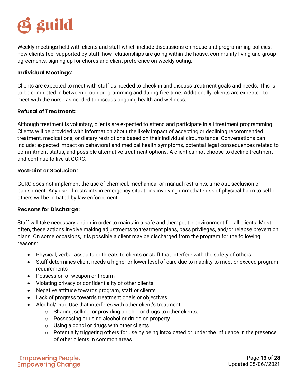## **g** guild

Weekly meetings held with clients and staff which include discussions on house and programming policies, how clients feel supported by staff, how relationships are going within the house, community living and group agreements, signing up for chores and client preference on weekly outing.

#### <span id="page-12-0"></span>**Individual Meetings:**

Clients are expected to meet with staff as needed to check in and discuss treatment goals and needs. This is to be completed in between group programming and during free time. Additionally, clients are expected to meet with the nurse as needed to discuss ongoing health and wellness.

#### <span id="page-12-1"></span>**Refusal of Treatment:**

Although treatment is voluntary, clients are expected to attend and participate in all treatment programming. Clients will be provided with information about the likely impact of accepting or declining recommended treatment, medications, or dietary restrictions based on their individual circumstance. Conversations can include: expected impact on behavioral and medical health symptoms, potential legal consequences related to commitment status, and possible alternative treatment options. A client cannot choose to decline treatment and continue to live at GCRC.

#### <span id="page-12-2"></span>**Restraint or Seclusion:**

GCRC does not implement the use of chemical, mechanical or manual restraints, time out, seclusion or punishment. Any use of restraints in emergency situations involving immediate risk of physical harm to self or others will be initiated by law enforcement.

#### <span id="page-12-3"></span>**Reasons for Discharge:**

Staff will take necessary action in order to maintain a safe and therapeutic environment for all clients. Most often, these actions involve making adjustments to treatment plans, pass privileges, and/or relapse prevention plans. On some occasions, it is possible a client may be discharged from the program for the following reasons:

- Physical, verbal assaults or threats to clients or staff that interfere with the safety of others
- Staff determines client needs a higher or lower level of care due to inability to meet or exceed program requirements
- Possession of weapon or firearm
- Violating privacy or confidentiality of other clients
- Negative attitude towards program, staff or clients
- Lack of progress towards treatment goals or objectives
- Alcohol/Drug Use that interferes with other client's treatment:
	- $\circ$  Sharing, selling, or providing alcohol or drugs to other clients.
	- o Possessing or using alcohol or drugs on property
	- o Using alcohol or drugs with other clients
	- o Potentially triggering others for use by being intoxicated or under the influence in the presence of other clients in common areas

**Empowering People. Empowering Change.** 

Page **13** of **28** Updated 05/06//2021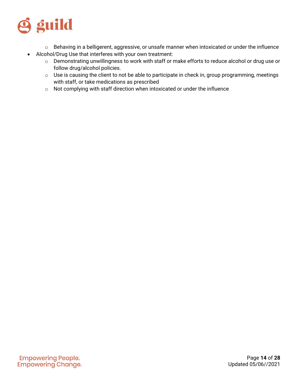

- <span id="page-13-0"></span>o Behaving in a belligerent, aggressive, or unsafe manner when intoxicated or under the influence
- Alcohol/Drug Use that interferes with your own treatment:
	- o Demonstrating unwillingness to work with staff or make efforts to reduce alcohol or drug use or follow drug/alcohol policies.
	- o Use is causing the client to not be able to participate in check in, group programming, meetings with staff, or take medications as prescribed
	- o Not complying with staff direction when intoxicated or under the influence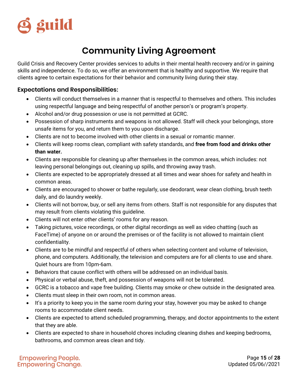

## **Community Living Agreement**

Guild Crisis and Recovery Center provides services to adults in their mental health recovery and/or in gaining skills and independence. To do so, we offer an environment that is healthy and supportive. We require that clients agree to certain expectations for their behavior and community living during their stay.

#### <span id="page-14-0"></span>**Expectations and Responsibilities:**

- Clients will conduct themselves in a manner that is respectful to themselves and others. This includes using respectful language and being respectful of another person's or program's property.
- Alcohol and/or drug possession or use is not permitted at GCRC.
- Possession of sharp instruments and weapons is not allowed. Staff will check your belongings, store unsafe items for you, and return them to you upon discharge.
- Clients are not to become involved with other clients in a sexual or romantic manner.
- Clients will keep rooms clean, compliant with safety standards, and **free from food and drinks other than water.**
- Clients are responsible for cleaning up after themselves in the common areas, which includes: not leaving personal belongings out, cleaning up spills, and throwing away trash.
- Clients are expected to be appropriately dressed at all times and wear shoes for safety and health in common areas.
- Clients are encouraged to shower or bathe regularly, use deodorant, wear clean clothing, brush teeth daily, and do laundry weekly.
- Clients will not borrow, buy, or sell any items from others. Staff is not responsible for any disputes that may result from clients violating this guideline.
- Clients will not enter other clients' rooms for any reason.
- Taking pictures, voice recordings, or other digital recordings as well as video chatting (such as FaceTime) of anyone on or around the premises or of the facility is not allowed to maintain client confidentiality.
- Clients are to be mindful and respectful of others when selecting content and volume of television, phone, and computers. Additionally, the television and computers are for all clients to use and share. Quiet hours are from 10pm-6am.
- Behaviors that cause conflict with others will be addressed on an individual basis.
- Physical or verbal abuse, theft, and possession of weapons will not be tolerated.
- GCRC is a tobacco and vape free building. Clients may smoke or chew outside in the designated area.
- Clients must sleep in their own room, not in common areas.
- It's a priority to keep you in the same room during your stay, however you may be asked to change rooms to accommodate client needs.
- Clients are expected to attend scheduled programming, therapy, and doctor appointments to the extent that they are able.
- Clients are expected to share in household chores including cleaning dishes and keeping bedrooms, bathrooms, and common areas clean and tidy.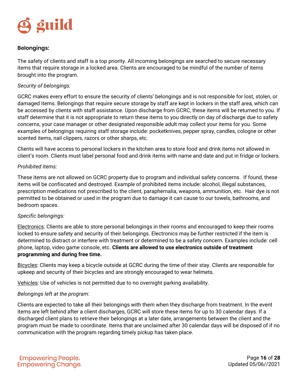

#### <span id="page-15-0"></span>**Belongings:**

The safety of clients and staff is a top priority. All incoming belongings are searched to secure necessary items that require storage in a locked area. Clients are encouraged to be mindful of the number of items brought into the program.

#### *Security of belongings:*

GCRC makes every effort to ensure the security of clients' belongings and is not responsible for lost, stolen, or damaged items. Belongings that require secure storage by staff are kept in lockers in the staff area, which can be accessed by clients with staff assistance. Upon discharge from GCRC, these items will be returned to you. If staff determine that it is not appropriate to return these items to you directly on day of discharge due to safety concerns, your case manager or other designated responsible adult may collect your items for you. Some examples of belongings requiring staff storage include: pocketknives, pepper spray, candles, cologne or other scented items, nail clippers, razors or other sharps, etc.

Clients will have access to personal lockers in the kitchen area to store food and drink items not allowed in client's room. Clients must label personal food and drink items with name and date and put in fridge or lockers.

#### *Prohibited items:*

These items are not allowed on GCRC property due to program and individual safety concerns. If found, these items will be confiscated and destroyed. Example of prohibited items include: alcohol, illegal substances, prescription medications not prescribed to the client, paraphernalia, weapons, ammunition, etc. Hair dye is not permitted to be obtained or used in the program due to damage it can cause to our towels, bathrooms, and bedroom spaces.

#### *Specific belongings:*

Electronics: Clients are able to store personal belongings in their rooms and encouraged to keep their rooms locked to ensure safety and security of their belongings. Electronics may be further restricted if the item is determined to distract or interfere with treatment or determined to be a safety concern. Examples include: cell phone, laptop, video game console, etc. **Clients are allowed to use electronics outside of treatment programming and during free time.** 

Bicycles: Clients may keep a bicycle outside at GCRC during the time of their stay. Clients are responsible for upkeep and security of their bicycles and are strongly encouraged to wear helmets.

Vehicles: Use of vehicles is not permitted due to no overnight parking availability.

#### *Belongings left at the program*:

Clients are expected to take all their belongings with them when they discharge from treatment. In the event items are left behind after a client discharges, GCRC will store these items for up to 30 calendar days. If a discharged client plans to retrieve their belongings at a later date, arrangements between the client and the program must be made to coordinate. Items that are unclaimed after 30 calendar days will be disposed of if no communication with the program regarding timely pickup has taken place.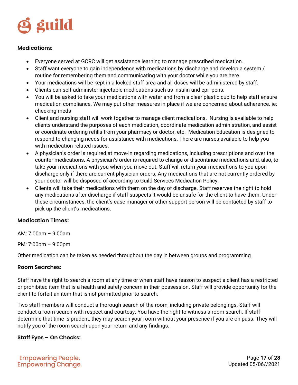

#### <span id="page-16-0"></span>**Medications:**

- Everyone served at GCRC will get assistance learning to manage prescribed medication.
- Staff want everyone to gain independence with medications by discharge and develop a system / routine for remembering them and communicating with your doctor while you are here.
- Your medications will be kept in a locked staff area and all doses will be administered by staff.
- Clients can self-administer injectable medications such as insulin and epi--pens.
- You will be asked to take your medications with water and from a clear plastic cup to help staff ensure medication compliance. We may put other measures in place if we are concerned about adherence. ie: cheeking meds
- Client and nursing staff will work together to manage client medications. Nursing is available to help clients understand the purposes of each medication, coordinate medication administration, and assist or coordinate ordering refills from your pharmacy or doctor, etc. Medication Education is designed to respond to changing needs for assistance with medications. There are nurses available to help you with medication-related issues.
- A physician's order is required at move-in regarding medications, including prescriptions and over the counter medications. A physician's order is required to change or discontinue medications and, also, to take your medications with you when you move out. Staff will return your medications to you upon discharge only if there are current physician orders. Any medications that are not currently ordered by your doctor will be disposed of according to Guild Services Medication Policy.
- Clients will take their medications with them on the day of discharge. Staff reserves the right to hold any medications after discharge if staff suspects it would be unsafe for the client to have them. Under these circumstances, the client's case manager or other support person will be contacted by staff to pick up the client's medications.

#### **Medication Times:**

AM: 7:00am – 9:00am

PM: 7:00pm – 9:00pm

Other medication can be taken as needed throughout the day in between groups and programming.

#### <span id="page-16-1"></span>**Room Searches:**

Staff have the right to search a room at any time or when staff have reason to suspect a client has a restricted or prohibited item that is a health and safety concern in their possession. Staff will provide opportunity for the client to forfeit an item that is not permitted prior to search.

Two staff members will conduct a thorough search of the room, including private belongings. Staff will conduct a room search with respect and courtesy. You have the right to witness a room search. If staff determine that time is prudent, they may search your room without your presence if you are on pass. They will notify you of the room search upon your return and any findings.

#### <span id="page-16-2"></span>**Staff Eyes – On Checks:**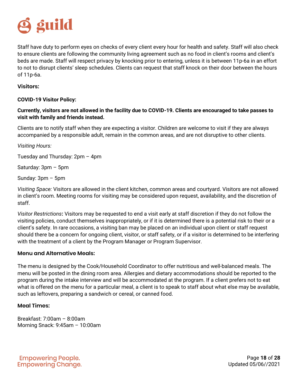

Staff have duty to perform eyes on checks of every client every hour for health and safety. Staff will also check to ensure clients are following the community living agreement such as no food in client's rooms and client's beds are made. Staff will respect privacy by knocking prior to entering, unless it is between 11p-6a in an effort to not to disrupt clients' sleep schedules. Clients can request that staff knock on their door between the hours of 11p-6a.

#### <span id="page-17-0"></span>**Visitors:**

**COVID-19 Visitor Policy:**

#### **Currently, visitors are not allowed in the facility due to COVID-19. Clients are encouraged to take passes to visit with family and friends instead.**

Clients are to notify staff when they are expecting a visitor. Children are welcome to visit if they are always accompanied by a responsible adult, remain in the common areas, and are not disruptive to other clients.

*Visiting Hours:*

Tuesday and Thursday: 2pm – 4pm

Saturday: 3pm – 5pm

Sunday: 3pm – 5pm

*Visiting Space:* Visitors are allowed in the client kitchen, common areas and courtyard. Visitors are not allowed in client's room. Meeting rooms for visiting may be considered upon request, availability, and the discretion of staff.

*Visitor Restrictions***:** Visitors may be requested to end a visit early at staff discretion if they do not follow the visiting policies, conduct themselves inappropriately, or if it is determined there is a potential risk to their or a client's safety. In rare occasions, a visiting ban may be placed on an individual upon client or staff request should there be a concern for ongoing client, visitor, or staff safety, or if a visitor is determined to be interfering with the treatment of a client by the Program Manager or Program Supervisor.

#### <span id="page-17-1"></span>**Menu and Alternative Meals:**

The menu is designed by the Cook/Household Coordinator to offer nutritious and well-balanced meals. The menu will be posted in the dining room area. Allergies and dietary accommodations should be reported to the program during the intake interview and will be accommodated at the program. If a client prefers not to eat what is offered on the menu for a particular meal, a client is to speak to staff about what else may be available, such as leftovers, preparing a sandwich or cereal, or canned food.

#### **Meal Times:**

Breakfast: 7:00am – 8:00am Morning Snack: 9:45am – 10:00am

**Empowering People. Empowering Change.** 

Page **18** of **28** Updated 05/06//2021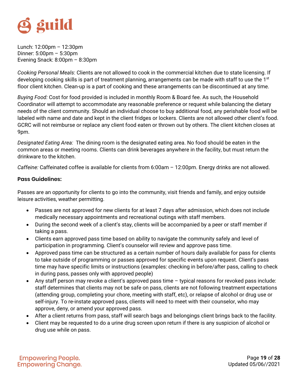

Lunch: 12:00pm – 12:30pm Dinner: 5:00pm – 5:30pm Evening Snack: 8:00pm – 8:30pm

*Cooking Personal Meals*: Clients are not allowed to cook in the commercial kitchen due to state licensing. If developing cooking skills is part of treatment planning, arrangements can be made with staff to use the 1st floor client kitchen. Clean-up is a part of cooking and these arrangements can be discontinued at any time.

*Buying Food:* Cost for food provided is included in monthly Room & Board fee. As such, the Household Coordinator will attempt to accommodate any reasonable preference or request while balancing the dietary needs of the client community. Should an individual choose to buy additional food, any perishable food will be labeled with name and date and kept in the client fridges or lockers. Clients are not allowed other client's food. GCRC will not reimburse or replace any client food eaten or thrown out by others. The client kitchen closes at 9pm.

*Designated Eating Area:* The dining room is the designated eating area. No food should be eaten in the common areas or meeting rooms. Clients can drink beverages anywhere in the facility, but must return the drinkware to the kitchen.

*Caffeine:* Caffeinated coffee is available for clients from 6:00am – 12:00pm. Energy drinks are not allowed.

#### **Pass Guidelines:**

Passes are an opportunity for clients to go into the community, visit friends and family, and enjoy outside leisure activities, weather permitting.

- Passes are not approved for new clients for at least 7 days after admission, which does not include medically necessary appointments and recreational outings with staff members.
- During the second week of a client's stay, clients will be accompanied by a peer or staff member if taking a pass.
- Clients earn approved pass time based on ability to navigate the community safely and level of participation in programming. Client's counselor will review and approve pass time.
- Approved pass time can be structured as a certain number of hours daily available for pass for clients to take outside of programming or passes approved for specific events upon request. Client's pass time may have specific limits or instructions (examples: checking in before/after pass, calling to check in during pass, passes only with approved people)
- Any staff person may revoke a client's approved pass time typical reasons for revoked pass include: staff determines that clients may not be safe on pass, clients are not following treatment expectations (attending group, completing your chore, meeting with staff, etc), or relapse of alcohol or drug use or self-injury. To re-instate approved pass, clients will need to meet with their counselor, who may approve, deny, or amend your approved pass.
- After a client returns from pass, staff will search bags and belongings client brings back to the facility.
- Client may be requested to do a urine drug screen upon return if there is any suspicion of alcohol or drug use while on pass.

**Empowering People. Empowering Change.** 

<span id="page-18-0"></span>Page **19** of **28** Updated 05/06//2021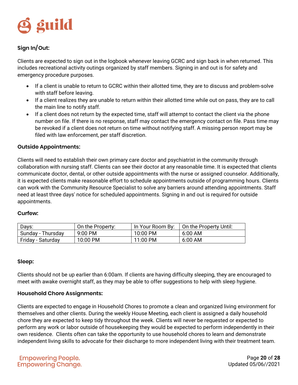

#### <span id="page-19-0"></span>**Sign In/Out:**

Clients are expected to sign out in the logbook whenever leaving GCRC and sign back in when returned. This includes recreational activity outings organized by staff members. Signing in and out is for safety and emergency procedure purposes.

- If a client is unable to return to GCRC within their allotted time, they are to discuss and problem-solve with staff before leaving.
- If a client realizes they are unable to return within their allotted time while out on pass, they are to call the main line to notify staff.
- If a client does not return by the expected time, staff will attempt to contact the client via the phone number on file. If there is no response, staff may contact the emergency contact on file. Pass time may be revoked if a client does not return on time without notifying staff. A missing person report may be filed with law enforcement, per staff discretion.

#### <span id="page-19-1"></span>**Outside Appointments:**

Clients will need to establish their own primary care doctor and psychiatrist in the community through collaboration with nursing staff. Clients can see their doctor at any reasonable time. It is expected that clients communicate doctor, dental, or other outside appointments with the nurse or assigned counselor. Additionally, it is expected clients make reasonable effort to schedule appointments outside of programming hours. Clients can work with the Community Resource Specialist to solve any barriers around attending appointments. Staff need at least three days' notice for scheduled appointments. Signing in and out is required for outside appointments.

#### <span id="page-19-2"></span>**Curfew:**

| Days:             | On the Property:    | In Your Room By: | On the Property Until: |
|-------------------|---------------------|------------------|------------------------|
| Sunday - Thursday | $9:00 \, \text{PM}$ | $10:00$ PM       | 6:00 AM                |
| Friday - Saturday | 10:00 PM            | 11:00 PM         | $6:00$ AM              |

#### <span id="page-19-3"></span>**Sleep:**

<span id="page-19-4"></span>Clients should not be up earlier than 6:00am. If clients are having difficulty sleeping, they are encouraged to meet with awake overnight staff, as they may be able to offer suggestions to help with sleep hygiene.

#### **Household Chore Assignments:**

Clients are expected to engage in Household Chores to promote a clean and organized living environment for themselves and other clients. During the weekly House Meeting, each client is assigned a daily household chore they are expected to keep tidy throughout the week. Clients will never be requested or expected to perform any work or labor outside of housekeeping they would be expected to perform independently in their own residence. Clients often can take the opportunity to use household chores to learn and demonstrate independent living skills to advocate for their discharge to more independent living with their treatment team.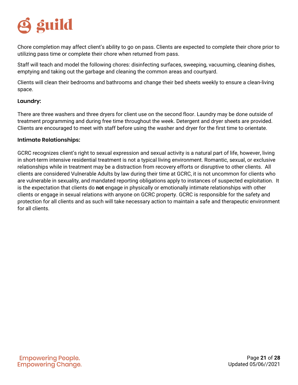

Chore completion may affect client's ability to go on pass. Clients are expected to complete their chore prior to utilizing pass time or complete their chore when returned from pass.

Staff will teach and model the following chores: disinfecting surfaces, sweeping, vacuuming, cleaning dishes, emptying and taking out the garbage and cleaning the common areas and courtyard.

Clients will clean their bedrooms and bathrooms and change their bed sheets weekly to ensure a clean-living space.

#### <span id="page-20-0"></span>**Laundry:**

There are three washers and three dryers for client use on the second floor. Laundry may be done outside of treatment programming and during free time throughout the week. Detergent and dryer sheets are provided. Clients are encouraged to meet with staff before using the washer and dryer for the first time to orientate.

#### <span id="page-20-1"></span>**Intimate Relationships:**

GCRC recognizes client's right to sexual expression and sexual activity is a natural part of life, however, living in short-term intensive residential treatment is not a typical living environment. Romantic, sexual, or exclusive relationships while in treatment may be a distraction from recovery efforts or disruptive to other clients. All clients are considered Vulnerable Adults by law during their time at GCRC, it is not uncommon for clients who are vulnerable in sexuality, and mandated reporting obligations apply to instances of suspected exploitation. It is the expectation that clients do **not** engage in physically or emotionally intimate relationships with other clients or engage in sexual relations with anyone on GCRC property. GCRC is responsible for the safety and protection for all clients and as such will take necessary action to maintain a safe and therapeutic environment for all clients.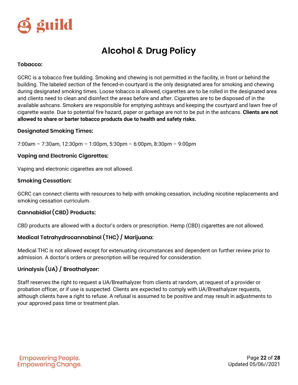

## **Alcohol & Drug Policy**

#### <span id="page-21-0"></span>**Tobacco:**

GCRC is a tobacco free building. Smoking and chewing is not permitted in the facility, in front or behind the building. The labeled section of the fenced-in courtyard is the only designated area for smoking and chewing during designated smoking times. Loose tobacco is allowed, cigarettes are to be rolled in the designated area and clients need to clean and disinfect the areas before and after. Cigarettes are to be disposed of in the available ashcans. Smokers are responsible for emptying ashtrays and keeping the courtyard and lawn free of cigarette waste. Due to potential fire hazard, paper or garbage are not to be put in the ashcans. **Clients are not allowed to share or barter tobacco products due to health and safety risks.**

#### **Designated Smoking Times:**

7:00am – 7:30am, 12:30pm – 1:00pm, 5:30pm – 6:00pm, 8:30pm – 9:00pm

#### **Vaping and Electronic Cigarettes:**

Vaping and electronic cigarettes are not allowed.

#### **Smoking Cessation:**

GCRC can connect clients with resources to help with smoking cessation, including nicotine replacements and smoking cessation curriculum.

#### **Cannabidiol (CBD) Products:**

CBD products are allowed with a doctor's orders or prescription. Hemp (CBD) cigarettes are not allowed.

#### **Medical Tetrahydrocannabinol (THC) / Marijuana:**

Medical THC is not allowed except for extenuating circumstances and dependent on further review prior to admission. A doctor's orders or prescription will be required for consideration.

#### **Urinalysis (UA) / Breathalyzer:**

Staff reserves the right to request a UA/Breathalyzer from clients at random, at request of a provider or probation officer, or if use is suspected. Clients are expected to comply with UA/Breathalyzer requests, although clients have a right to refuse. A refusal is assumed to be positive and may result in adjustments to your approved pass time or treatment plan.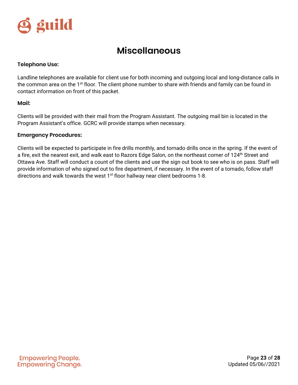

## **Miscellaneous**

#### <span id="page-22-1"></span><span id="page-22-0"></span>**Telephone Use:**

Landline telephones are available for client use for both incoming and outgoing local and long-distance calls in the common area on the 1<sup>st</sup> floor. The client phone number to share with friends and family can be found in contact information on front of this packet.

#### <span id="page-22-2"></span>**Mail:**

Clients will be provided with their mail from the Program Assistant. The outgoing mail bin is located in the Program Assistant's office. GCRC will provide stamps when necessary.

#### <span id="page-22-3"></span>**Emergency Procedures:**

Clients will be expected to participate in fire drills monthly, and tornado drills once in the spring. If the event of a fire, exit the nearest exit, and walk east to Razors Edge Salon, on the northeast corner of 124<sup>th</sup> Street and Ottawa Ave. Staff will conduct a count of the clients and use the sign out book to see who is on pass. Staff will provide information of who signed out to fire department, if necessary. In the event of a tornado, follow staff directions and walk towards the west  $1<sup>st</sup>$  floor hallway near client bedrooms 1-8.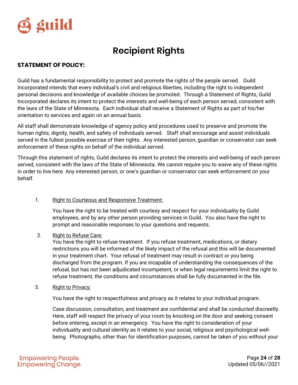

## **Recipient Rights**

#### <span id="page-23-0"></span>**STATEMENT OF POLICY:**

Guild has a fundamental responsibility to protect and promote the rights of the people served. Guild Incorporated intends that every individual's civil and religious liberties, including the right to independent personal decisions and knowledge of available choices be promoted. Through a Statement of Rights, Guild Incorporated declares its intent to protect the interests and well-being of each person served, consistent with the laws of the State of Minnesota. Each individual shall receive a Statement of Rights as part of his/her orientation to services and again on an annual basis.

All staff shall demonstrate knowledge of agency policy and procedures used to preserve and promote the human rights, dignity, health, and safety of individuals served. Staff shall encourage and assist individuals served in the fullest possible exercise of their rights. Any interested person, guardian or conservator can seek enforcement of these rights on behalf of the individual served.

Through this statement of rights, Guild declares its intent to protect the interests and well-being of each person served, consistent with the laws of the State of Minnesota. We cannot require you to waive any of these rights in order to live here. Any interested person, or one's guardian or conservator can seek enforcement on your behalf.

#### 1. Right to Courteous and Responsive Treatment:

You have the right to be treated with courtesy and respect for your individuality by Guild employees, and by any other person providing services in Guild. You also have the right to prompt and reasonable responses to your questions and requests.

2. Right to Refuse Care:

You have the right to refuse treatment. If you refuse treatment, medications, or dietary restrictions you will be informed of the likely impact of the refusal and this will be documented in your treatment chart. Your refusal of treatment may result in contract or you being discharged from the program. If you are incapable of understanding the consequences of the refusal, but has not been adjudicated incompetent, or when legal requirements limit the right to refuse treatment, the conditions and circumstances shall be fully documented in the file.

3. Right to Privacy:

You have the right to respectfulness and privacy as it relates to your individual program.

Case discussion, consultation, and treatment are confidential and shall be conducted discreetly. Here, staff will respect the privacy of your room by knocking on the door and seeking consent before entering, except in an emergency. You have the right to consideration of your individuality and cultural identity as it relates to your social, religious and psychological wellbeing. Photographs, other than for identification purposes, cannot be taken of you without your

**Empowering People. Empowering Change.** 

Page **24** of **28** Updated 05/06//2021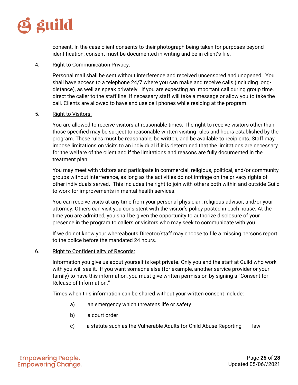

consent. In the case client consents to their photograph being taken for purposes beyond identification, consent must be documented in writing and be in client's file.

#### 4. Right to Communication Privacy:

Personal mail shall be sent without interference and received uncensored and unopened. You shall have access to a telephone 24/7 where you can make and receive calls (including longdistance), as well as speak privately. If you are expecting an important call during group time, direct the caller to the staff line. If necessary staff will take a message or allow you to take the call. Clients are allowed to have and use cell phones while residing at the program.

#### 5. Right to Visitors:

You are allowed to receive visitors at reasonable times. The right to receive visitors other than those specified may be subject to reasonable written visiting rules and hours established by the program. These rules must be reasonable, be written, and be available to recipients. Staff may impose limitations on visits to an individual if it is determined that the limitations are necessary for the welfare of the client and if the limitations and reasons are fully documented in the treatment plan.

You may meet with visitors and participate in commercial, religious, political, and/or community groups without interference, as long as the activities do not infringe on the privacy rights of other individuals served. This includes the right to join with others both within and outside Guild to work for improvements in mental health services.

You can receive visits at any time from your personal physician, religious advisor, and/or your attorney. Others can visit you consistent with the visitor's policy posted in each house. At the time you are admitted, you shall be given the opportunity to authorize disclosure of your presence in the program to callers or visitors who may seek to communicate with you.

If we do not know your whereabouts Director/staff may choose to file a missing persons report to the police before the mandated 24 hours.

#### 6. Right to Confidentiality of Records:

Information you give us about yourself is kept private. Only you and the staff at Guild who work with you will see it. If you want someone else (for example, another service provider or your family) to have this information, you must give written permission by signing a "Consent for Release of Information."

Times when this information can be shared without your written consent include:

- a) an emergency which threatens life or safety
- b) a court order
- c) a statute such as the Vulnerable Adults for Child Abuse Reporting law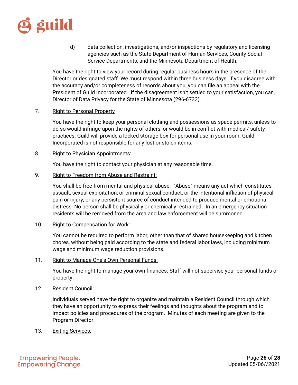

d) data collection, investigations, and/or inspections by regulatory and licensing agencies such as the State Department of Human Services, County Social Service Departments, and the Minnesota Department of Health.

You have the right to view your record during regular business hours in the presence of the Director or designated staff. We must respond within three business days. If you disagree with the accuracy and/or completeness of records about you, you can file an appeal with the President of Guild Incorporated. If the disagreement isn't settled to your satisfaction, you can, Director of Data Privacy for the State of Minnesota (296-6733).

#### 7. Right to Personal Property

You have the right to keep your personal clothing and possessions as space permits, unless to do so would infringe upon the rights of others, or would be in conflict with medical/ safety practices. Guild will provide a locked storage box for personal use in your room. Guild Incorporated is not responsible for any lost or stolen items.

#### 8. Right to Physician Appointments:

You have the right to contact your physician at any reasonable time.

9. Right to Freedom from Abuse and Restraint:

You shall be free from mental and physical abuse. "Abuse" means any act which constitutes assault, sexual exploitation, or criminal sexual conduct; or the intentional infliction of physical pain or injury; or any persistent source of conduct intended to produce mental or emotional distress. No person shall be physically or chemically restrained.In an emergency situation residents will be removed from the area and law enforcement will be summoned.

#### 10. Right to Compensation for Work:

You cannot be required to perform labor, other than that of shared housekeeping and kitchen chores, without being paid according to the state and federal labor laws, including minimum wage and minimum wage reduction provisions.

11. Right to Manage One's Own Personal Funds:

You have the right to manage your own finances. Staff will not supervise your personal funds or property.

12. Resident Council:

Individuals served have the right to organize and maintain a Resident Council through which they have an opportunity to express their feelings and thoughts about the program and to impact policies and procedures of the program. Minutes of each meeting are given to the Program Director.

13. Exiting Services: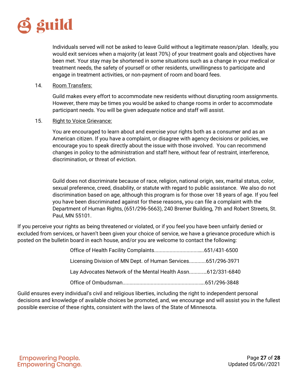

Individuals served will not be asked to leave Guild without a legitimate reason/plan. Ideally, you would exit services when a majority (at least 70%) of your treatment goals and objectives have been met. Your stay may be shortened in some situations such as a change in your medical or treatment needs, the safety of yourself or other residents, unwillingness to participate and engage in treatment activities, or non-payment of room and board fees.

#### 14. Room Transfers:

Guild makes every effort to accommodate new residents without disrupting room assignments. However, there may be times you would be asked to change rooms in order to accommodate participant needs. You will be given adequate notice and staff will assist.

#### 15. Right to Voice Grievance:

You are encouraged to learn about and exercise your rights both as a consumer and as an American citizen. If you have a complaint, or disagree with agency decisions or policies, we encourage you to speak directly about the issue with those involved. You can recommend changes in policy to the administration and staff here, without fear of restraint, interference, discrimination, or threat of eviction.

Guild does not discriminate because of race, religion, national origin, sex, marital status, color, sexual preference, creed, disability, or statute with regard to public assistance. We also do not discrimination based on age, although this program is for those over 18 years of age. If you feel you have been discriminated against for these reasons**,** you can file a complaint with the Department of Human Rights, (651/296-5663), 240 Bremer Building, 7th and Robert Streets, St. Paul, MN 55101.

If you perceive your rights as being threatened or violated, or if you feel you have been unfairly denied or excluded from services, or haven't been given your choice of service, we have a grievance procedure which is posted on the bulletin board in each house, and/or you are welcome to contact the following:

| Licensing Division of MN Dept. of Human Services651/296-3971 |  |
|--------------------------------------------------------------|--|
| Lay Advocates Network of the Mental Health Assn612/331-6840  |  |
|                                                              |  |

Guild ensures every individual's civil and religious liberties, including the right to independent personal decisions and knowledge of available choices be promoted, and, we encourage and will assist you in the fullest possible exercise of these rights, consistent with the laws of the State of Minnesota.